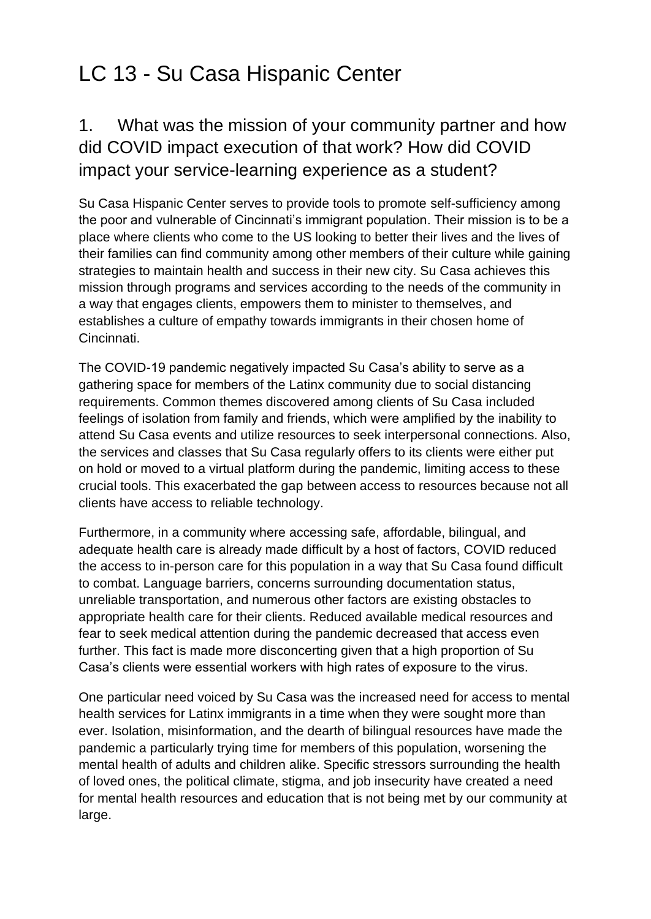### 1. What was the mission of your community partner and how did COVID impact execution of that work? How did COVID impact your service-learning experience as a student?

Su Casa Hispanic Center serves to provide tools to promote self-sufficiency among the poor and vulnerable of Cincinnati's immigrant population. Their mission is to be a place where clients who come to the US looking to better their lives and the lives of their families can find community among other members of their culture while gaining strategies to maintain health and success in their new city. Su Casa achieves this mission through programs and services according to the needs of the community in a way that engages clients, empowers them to minister to themselves, and establishes a culture of empathy towards immigrants in their chosen home of Cincinnati.

The COVID-19 pandemic negatively impacted Su Casa's ability to serve as a gathering space for members of the Latinx community due to social distancing requirements. Common themes discovered among clients of Su Casa included feelings of isolation from family and friends, which were amplified by the inability to attend Su Casa events and utilize resources to seek interpersonal connections. Also, the services and classes that Su Casa regularly offers to its clients were either put on hold or moved to a virtual platform during the pandemic, limiting access to these crucial tools. This exacerbated the gap between access to resources because not all clients have access to reliable technology.

Furthermore, in a community where accessing safe, affordable, bilingual, and adequate health care is already made difficult by a host of factors, COVID reduced the access to in-person care for this population in a way that Su Casa found difficult to combat. Language barriers, concerns surrounding documentation status, unreliable transportation, and numerous other factors are existing obstacles to appropriate health care for their clients. Reduced available medical resources and fear to seek medical attention during the pandemic decreased that access even further. This fact is made more disconcerting given that a high proportion of Su Casa's clients were essential workers with high rates of exposure to the virus.

One particular need voiced by Su Casa was the increased need for access to mental health services for Latinx immigrants in a time when they were sought more than ever. Isolation, misinformation, and the dearth of bilingual resources have made the pandemic a particularly trying time for members of this population, worsening the mental health of adults and children alike. Specific stressors surrounding the health of loved ones, the political climate, stigma, and job insecurity have created a need for mental health resources and education that is not being met by our community at large.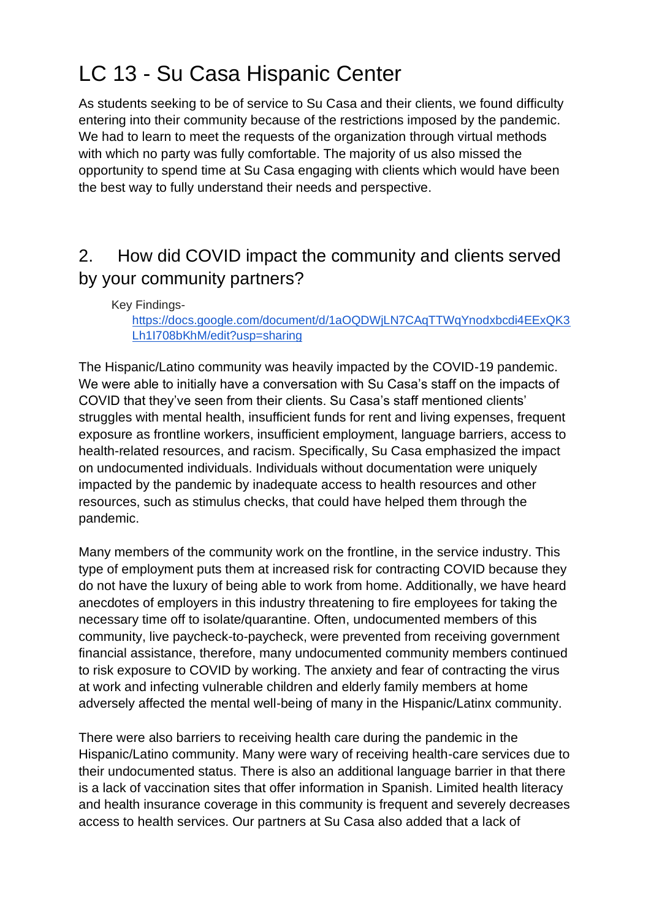As students seeking to be of service to Su Casa and their clients, we found difficulty entering into their community because of the restrictions imposed by the pandemic. We had to learn to meet the requests of the organization through virtual methods with which no party was fully comfortable. The majority of us also missed the opportunity to spend time at Su Casa engaging with clients which would have been the best way to fully understand their needs and perspective.

### 2. How did COVID impact the community and clients served by your community partners?

Key Findings[https://docs.google.com/document/d/1aOQDWjLN7CAqTTWqYnodxbcdi4EExQK3](https://docs.google.com/document/d/1aOQDWjLN7CAqTTWqYnodxbcdi4EExQK3Lh1I708bKhM/edit?usp=sharing) [Lh1I708bKhM/edit?usp=sharing](https://docs.google.com/document/d/1aOQDWjLN7CAqTTWqYnodxbcdi4EExQK3Lh1I708bKhM/edit?usp=sharing)

The Hispanic/Latino community was heavily impacted by the COVID-19 pandemic. We were able to initially have a conversation with Su Casa's staff on the impacts of COVID that they've seen from their clients. Su Casa's staff mentioned clients' struggles with mental health, insufficient funds for rent and living expenses, frequent exposure as frontline workers, insufficient employment, language barriers, access to health-related resources, and racism. Specifically, Su Casa emphasized the impact on undocumented individuals. Individuals without documentation were uniquely impacted by the pandemic by inadequate access to health resources and other resources, such as stimulus checks, that could have helped them through the pandemic.

Many members of the community work on the frontline, in the service industry. This type of employment puts them at increased risk for contracting COVID because they do not have the luxury of being able to work from home. Additionally, we have heard anecdotes of employers in this industry threatening to fire employees for taking the necessary time off to isolate/quarantine. Often, undocumented members of this community, live paycheck-to-paycheck, were prevented from receiving government financial assistance, therefore, many undocumented community members continued to risk exposure to COVID by working. The anxiety and fear of contracting the virus at work and infecting vulnerable children and elderly family members at home adversely affected the mental well-being of many in the Hispanic/Latinx community.

There were also barriers to receiving health care during the pandemic in the Hispanic/Latino community. Many were wary of receiving health-care services due to their undocumented status. There is also an additional language barrier in that there is a lack of vaccination sites that offer information in Spanish. Limited health literacy and health insurance coverage in this community is frequent and severely decreases access to health services. Our partners at Su Casa also added that a lack of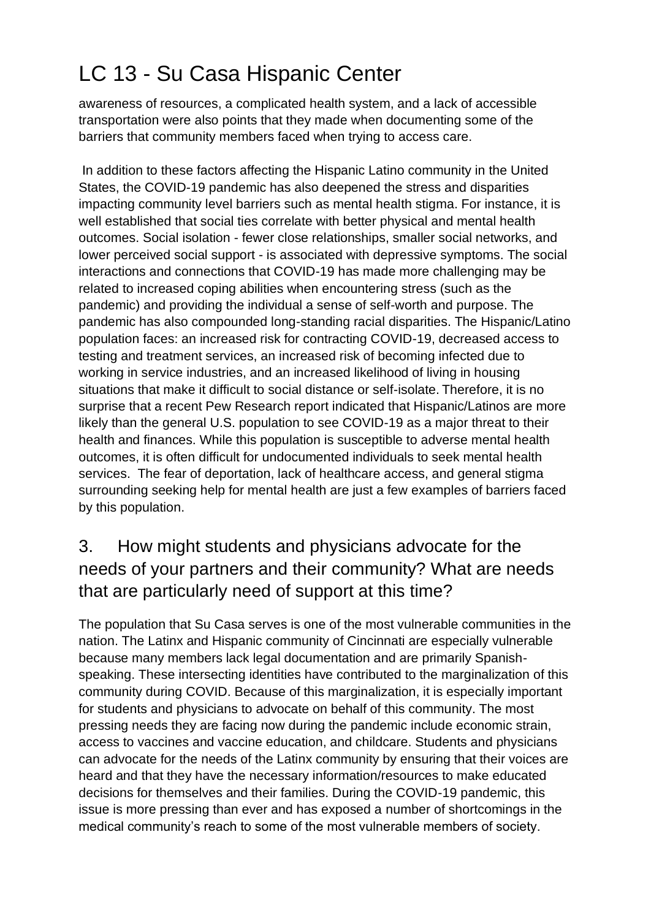awareness of resources, a complicated health system, and a lack of accessible transportation were also points that they made when documenting some of the barriers that community members faced when trying to access care.

In addition to these factors affecting the Hispanic Latino community in the United States, the COVID-19 pandemic has also deepened the stress and disparities impacting community level barriers such as mental health stigma. For instance, it is well established that social ties correlate with better physical and mental health outcomes. Social isolation - fewer close relationships, smaller social networks, and lower perceived social support - is associated with depressive symptoms. The social interactions and connections that COVID-19 has made more challenging may be related to increased coping abilities when encountering stress (such as the pandemic) and providing the individual a sense of self-worth and purpose. The pandemic has also compounded long-standing racial disparities. The Hispanic/Latino population faces: an increased risk for contracting COVID-19, decreased access to testing and treatment services, an increased risk of becoming infected due to working in service industries, and an increased likelihood of living in housing situations that make it difficult to social distance or self-isolate. Therefore, it is no surprise that a recent Pew Research report indicated that Hispanic/Latinos are more likely than the general U.S. population to see COVID-19 as a major threat to their health and finances. While this population is susceptible to adverse mental health outcomes, it is often difficult for undocumented individuals to seek mental health services. The fear of deportation, lack of healthcare access, and general stigma surrounding seeking help for mental health are just a few examples of barriers faced by this population.

### 3. How might students and physicians advocate for the needs of your partners and their community? What are needs that are particularly need of support at this time?

The population that Su Casa serves is one of the most vulnerable communities in the nation. The Latinx and Hispanic community of Cincinnati are especially vulnerable because many members lack legal documentation and are primarily Spanishspeaking. These intersecting identities have contributed to the marginalization of this community during COVID. Because of this marginalization, it is especially important for students and physicians to advocate on behalf of this community. The most pressing needs they are facing now during the pandemic include economic strain, access to vaccines and vaccine education, and childcare. Students and physicians can advocate for the needs of the Latinx community by ensuring that their voices are heard and that they have the necessary information/resources to make educated decisions for themselves and their families. During the COVID-19 pandemic, this issue is more pressing than ever and has exposed a number of shortcomings in the medical community's reach to some of the most vulnerable members of society.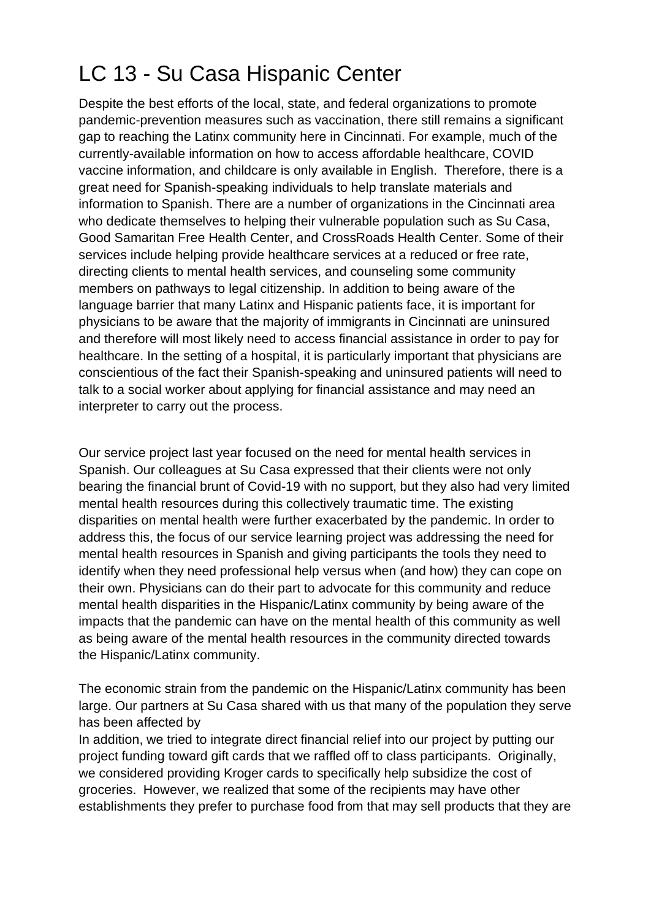Despite the best efforts of the local, state, and federal organizations to promote pandemic-prevention measures such as vaccination, there still remains a significant gap to reaching the Latinx community here in Cincinnati. For example, much of the currently-available information on how to access affordable healthcare, COVID vaccine information, and childcare is only available in English. Therefore, there is a great need for Spanish-speaking individuals to help translate materials and information to Spanish. There are a number of organizations in the Cincinnati area who dedicate themselves to helping their vulnerable population such as Su Casa, Good Samaritan Free Health Center, and CrossRoads Health Center. Some of their services include helping provide healthcare services at a reduced or free rate, directing clients to mental health services, and counseling some community members on pathways to legal citizenship. In addition to being aware of the language barrier that many Latinx and Hispanic patients face, it is important for physicians to be aware that the majority of immigrants in Cincinnati are uninsured and therefore will most likely need to access financial assistance in order to pay for healthcare. In the setting of a hospital, it is particularly important that physicians are conscientious of the fact their Spanish-speaking and uninsured patients will need to talk to a social worker about applying for financial assistance and may need an interpreter to carry out the process.

Our service project last year focused on the need for mental health services in Spanish. Our colleagues at Su Casa expressed that their clients were not only bearing the financial brunt of Covid-19 with no support, but they also had very limited mental health resources during this collectively traumatic time. The existing disparities on mental health were further exacerbated by the pandemic. In order to address this, the focus of our service learning project was addressing the need for mental health resources in Spanish and giving participants the tools they need to identify when they need professional help versus when (and how) they can cope on their own. Physicians can do their part to advocate for this community and reduce mental health disparities in the Hispanic/Latinx community by being aware of the impacts that the pandemic can have on the mental health of this community as well as being aware of the mental health resources in the community directed towards the Hispanic/Latinx community.

The economic strain from the pandemic on the Hispanic/Latinx community has been large. Our partners at Su Casa shared with us that many of the population they serve has been affected by

In addition, we tried to integrate direct financial relief into our project by putting our project funding toward gift cards that we raffled off to class participants. Originally, we considered providing Kroger cards to specifically help subsidize the cost of groceries. However, we realized that some of the recipients may have other establishments they prefer to purchase food from that may sell products that they are